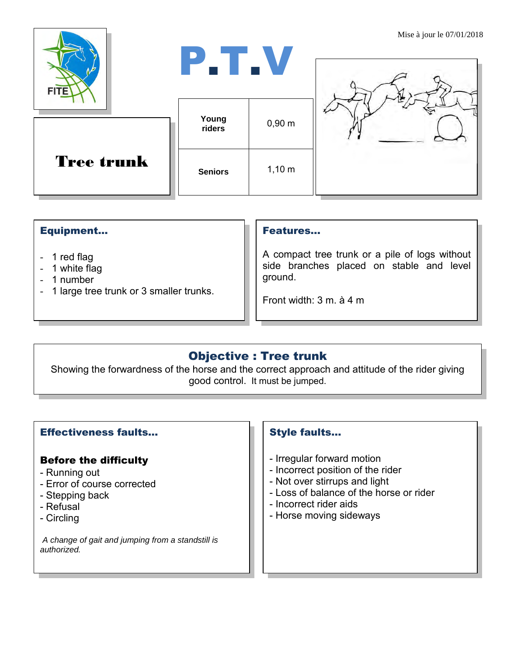| <b>FITE</b>       | P.T.V           |             | <b>IVIISU a juul IU</b> 07/01/2010 |
|-------------------|-----------------|-------------|------------------------------------|
|                   | Young<br>riders | $0,90 \; m$ |                                    |
| <b>Tree trunk</b> | <b>Seniors</b>  | $1,10 \; m$ |                                    |

#### Equipment...

- 1 red flag
- 1 white flag
- 1 number
- 1 large tree trunk or 3 smaller trunks.

#### Features…

A compact tree trunk or a pile of logs without side branches placed on stable and level ground.

Front width: 3 m. à 4 m

# Objective : Tree trunk

Showing the forwardness of the horse and the correct approach and attitude of the rider giving good control. It must be jumped.

## Effectiveness faults…

## Before the difficulty

- Running out
- Error of course corrected
- Stepping back
- Refusal
- Circling

*A change of gait and jumping from a standstill is authorized.*

## Style faults…

- Irregular forward motion
- Incorrect position of the rider
- Not over stirrups and light
- Loss of balance of the horse or rider
- Incorrect rider aids
- Horse moving sideways